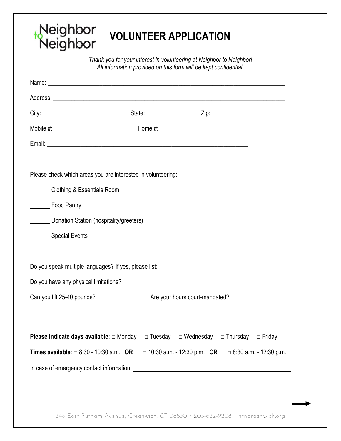## Neighbor<br>Neighbor **VOLUNTEER APPLICATION**

*Thank you for your interest in volunteering at Neighbor to Neighbor! All information provided on this form will be kept confidential.* 

| Name: <u>the contract of the contract of the contract of the contract of the contract of the contract of the contract of the contract of the contract of the contract of the contract of the contract of the contract of the con</u> |  |                                                                 |               |
|--------------------------------------------------------------------------------------------------------------------------------------------------------------------------------------------------------------------------------------|--|-----------------------------------------------------------------|---------------|
|                                                                                                                                                                                                                                      |  |                                                                 |               |
|                                                                                                                                                                                                                                      |  |                                                                 |               |
|                                                                                                                                                                                                                                      |  |                                                                 |               |
|                                                                                                                                                                                                                                      |  |                                                                 |               |
|                                                                                                                                                                                                                                      |  |                                                                 |               |
| Please check which areas you are interested in volunteering:                                                                                                                                                                         |  |                                                                 |               |
| Clothing & Essentials Room                                                                                                                                                                                                           |  |                                                                 |               |
| Food Pantry                                                                                                                                                                                                                          |  |                                                                 |               |
| Donation Station (hospitality/greeters)                                                                                                                                                                                              |  |                                                                 |               |
| Special Events                                                                                                                                                                                                                       |  |                                                                 |               |
|                                                                                                                                                                                                                                      |  |                                                                 |               |
| Do you speak multiple languages? If yes, please list: __________________________                                                                                                                                                     |  |                                                                 |               |
| Do you have any physical limitations?<br>Notice that the contract of the contract of the contract of the contract of the contract of the contract of the contract of the contract of the contract of the contract of the contrac     |  |                                                                 |               |
| Can you lift 25-40 pounds? _____________                                                                                                                                                                                             |  | Are your hours court-mandated?                                  |               |
|                                                                                                                                                                                                                                      |  |                                                                 |               |
| <b>Please indicate days available</b> : $\Box$ Monday $\Box$ Tuesday $\Box$ Wednesday $\Box$ Thursday                                                                                                                                |  |                                                                 | $\Box$ Friday |
| Times available: $\Box$ 8:30 - 10:30 a.m. OR                                                                                                                                                                                         |  | $\Box$ 10:30 a.m. - 12:30 p.m. OR $\Box$ 8:30 a.m. - 12:30 p.m. |               |
|                                                                                                                                                                                                                                      |  |                                                                 |               |

248 East Putnam Avenue, Greenwich, CT 06830 • 203-622-9208 • ntngreenwich.org